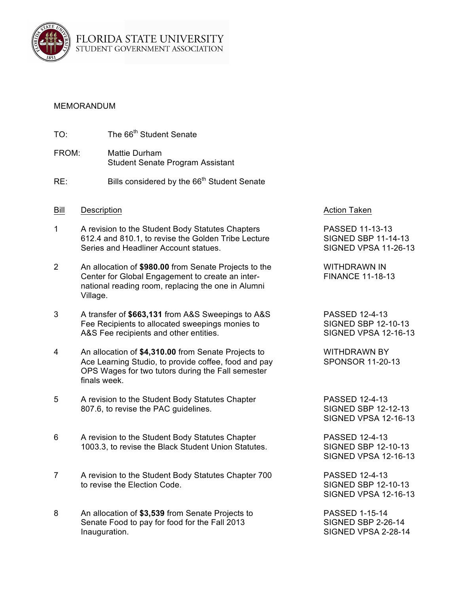

## MEMORANDUM

- TO: The 66<sup>th</sup> Student Senate
- FROM: Mattie Durham Student Senate Program Assistant
- RE: Bills considered by the  $66<sup>th</sup>$  Student Senate
- Bill Description **Action** Description **Action** Taken
- 1 A revision to the Student Body Statutes Chapters **PASSED 11-13-13** 612.4 and 810.1, to revise the Golden Tribe Lecture SIGNED SBP 11-14-13 Series and Headliner Account statues. SIGNED VPSA 11-26-13
- 2 An allocation of **\$980.00** from Senate Projects to the WITHDRAWN IN Center for Global Engagement to create an inter-<br>
FINANCE 11-18-13 national reading room, replacing the one in Alumni Village.
- 3 A transfer of **\$663,131** from A&S Sweepings to A&S PASSED 12-4-13 Fee Recipients to allocated sweepings monies to SIGNED SBP 12-10-13 A&S Fee recipients and other entities. SIGNED VPSA 12-16-13
- 4 An allocation of **\$4,310.00** from Senate Projects to WITHDRAWN BY Ace Learning Studio, to provide coffee, food and pay SPONSOR 11-20-13 OPS Wages for two tutors during the Fall semester finals week.
- 5 A revision to the Student Body Statutes Chapter PASSED 12-4-13 807.6, to revise the PAC quidelines.<br>SIGNED SBP 12-12-13
- 6 A revision to the Student Body Statutes Chapter PASSED 12-4-13 1003.3, to revise the Black Student Union Statutes. SIGNED SBP 12-10-13
- 7 A revision to the Student Body Statutes Chapter 700 PASSED 12-4-13 to revise the Election Code. The SIGNED SBP 12-10-13
- 8 An allocation of **\$3,539** from Senate Projects to PASSED 1-15-14 Senate Food to pay for food for the Fall 2013 SIGNED SBP 2-26-14 Inauguration. SIGNED VPSA 2-28-14

SIGNED VPSA 12-16-13

SIGNED VPSA 12-16-13

SIGNED VPSA 12-16-13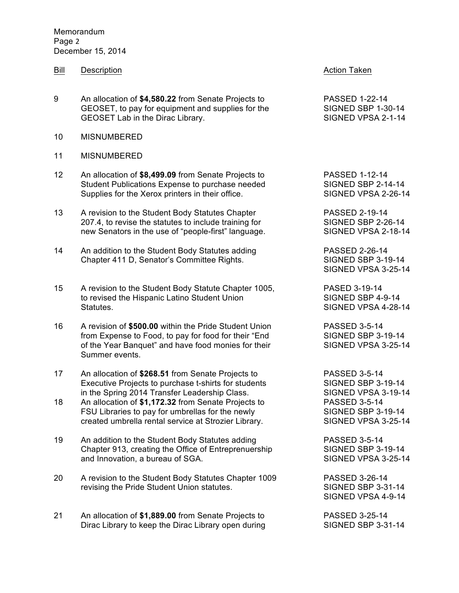**Memorandum** Page 2 December 15, 2014

- Bill Description **Action** Description **Action** Taken
- 9 An allocation of **\$4,580.22** from Senate Projects to PASSED 1-22-14<br>GEOSET, to pay for equipment and supplies for the SIGNED SBP 1-30-14 GEOSET, to pay for equipment and supplies for the GEOSET Lab in the Dirac Library. The SIGNED VPSA 2-1-14
- 10 MISNUMBERED
- 11 MISNUMBERED
- 12 An allocation of **\$8,499.09** from Senate Projects to PASSED 1-12-14 Student Publications Expense to purchase needed SIGNED SBP 2-14-14<br>Supplies for the Xerox printers in their office. SIGNED VPSA 2-26-14 Supplies for the Xerox printers in their office.
- 13 A revision to the Student Body Statutes Chapter **PASSED** 2-19-14 207.4, to revise the statutes to include training for SIGNED SBP 2-26-14 new Senators in the use of "people-first" language. SIGNED VPSA 2-18-14
- 14 An addition to the Student Body Statutes adding The State PASSED 2-26-14 Chapter 411 D, Senator's Committee Rights. SIGNED SBP 3-19-14
- 15 A revision to the Student Body Statute Chapter 1005, PASED 3-19-14 to revised the Hispanic Latino Student Union Summan SIGNED SBP 4-9-14 Statutes. Statutes and Statutes and Statutes and Statutes and Statutes and Statutes and Statutes and Statutes and Statutes and Statutes and Statutes and Statutes and Statutes and Statutes and Statutes and Statutes and Stat
- 16 A revision of **\$500.00** within the Pride Student Union PASSED 3-5-14 from Expense to Food, to pay for food for their "End SIGNED SBP 3-19-14 of the Year Banquet" and have food monies for their SIGNED VPSA 3-25-14 Summer events.
- 17 An allocation of **\$268.51** from Senate Projects to PASSED 3-5-14 Executive Projects to purchase t-shirts for students SIGNED SBP 3-19-14 in the Spring 2014 Transfer Leadership Class. SIGNED VPSA 3-19-14
- 18 An allocation of **\$1,172.32** from Senate Projects to PASSED 3-5-14 FSU Libraries to pay for umbrellas for the newly SIGNED SBP 3-19-14 created umbrella rental service at Strozier Library. SIGNED VPSA 3-25-14
- 19 An addition to the Student Body Statutes adding PASSED 3-5-14 Chapter 913, creating the Office of Entreprenuership SIGNED SBP 3-19-14 and Innovation, a bureau of SGA. SIGNED VPSA 3-25-14
- 20 A revision to the Student Body Statutes Chapter 1009 PASSED 3-26-14 revising the Pride Student Union statutes. SIGNED SBP 3-31-14
- 21 An allocation of **\$1,889.00** from Senate Projects to PASSED 3-25-14 Dirac Library to keep the Dirac Library open during SIGNED SBP 3-31-14

SIGNED VPSA 3-25-14

SIGNED VPSA 4-9-14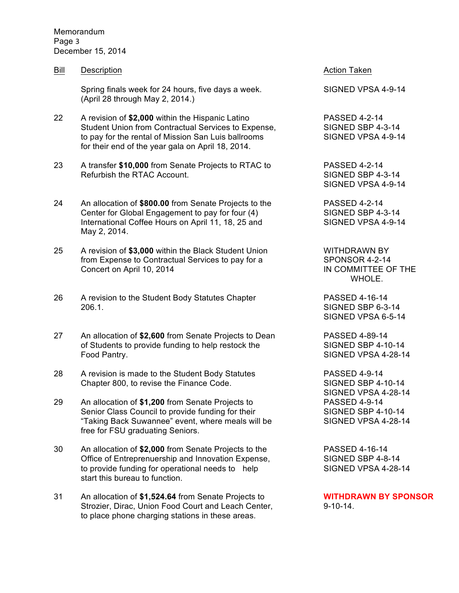Memorandum Page 3 December 15, 2014

Bill Description **Action** Description **Action** Taken

Spring finals week for 24 hours, five days a week. SIGNED VPSA 4-9-14 (April 28 through May 2, 2014.)

- 22 A revision of **\$2,000** within the Hispanic Latino PASSED 4-2-14 Student Union from Contractual Services to Expense, SIGNED SBP 4-3-14 to pay for the rental of Mission San Luis ballrooms SIGNED VPSA 4-9-14 for their end of the year gala on April 18, 2014.
- 23 A transfer **\$10,000** from Senate Projects to RTAC to PASSED 4-2-14 Refurbish the RTAC Account. The SIGNED SBP 4-3-14
- 24 An allocation of **\$800.00** from Senate Projects to the PASSED 4-2-14 Center for Global Engagement to pay for four (4) SIGNED SBP 4-3-14 International Coffee Hours on April 11, 18, 25 and SIGNED VPSA 4-9-14 May 2, 2014.
- 25 A revision of **\$3,000** within the Black Student Union WITHDRAWN BY from Expense to Contractual Services to pay for a SPONSOR 4-2-14 Concert on April 10, 2014 **IN COMMITTEE OF THE**
- 26 A revision to the Student Body Statutes Chapter **PASSED** 4-16-14 206.1. SIGNED SBP 6-3-14
- 27 An allocation of **\$2,600** from Senate Projects to Dean PASSED 4-89-14 of Students to provide funding to help restock the SIGNED SBP 4-10-14 Food Pantry. The state of the state of the SIGNED VPSA 4-28-14
- 28 A revision is made to the Student Body Statutes PASSED 4-9-14 Chapter 800, to revise the Finance Code. SIGNED SBP 4-10-14
- 29 An allocation of **\$1,200** from Senate Projects to PASSED 4-9-14 Senior Class Council to provide funding for their SIGNED SBP 4-10-14 "Taking Back Suwannee" event, where meals will be SIGNED VPSA 4-28-14 free for FSU graduating Seniors.
- 30 An allocation of **\$2,000** from Senate Projects to the PASSED 4-16-14 Office of Entreprenuership and Innovation Expense, SIGNED SBP 4-8-14 to provide funding for operational needs to help SIGNED VPSA 4-28-14 start this bureau to function.
- 31 An allocation of **\$1,524.64** from Senate Projects to **WITHDRAWN BY SPONSOR** Strozier, Dirac, Union Food Court and Leach Center, 9-10-14. to place phone charging stations in these areas.

SIGNED VPSA 4-9-14

WHOLE.

SIGNED VPSA 6-5-14

SIGNED VPSA 4-28-14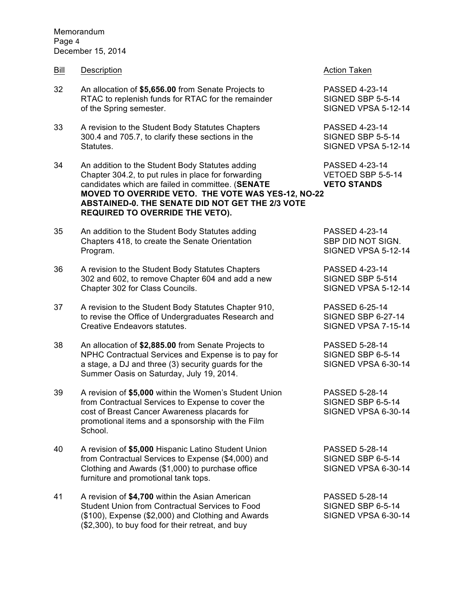Memorandum Page 4 December 15, 2014

- Bill Description **Action** Description **Action** Taken
- 32 An allocation of **\$5,656.00** from Senate Projects to PASSED 4-23-14 RTAC to replenish funds for RTAC for the remainder SIGNED SBP 5-5-14 of the Spring semester. The Superintensity of the Spring semester.
- 33 A revision to the Student Body Statutes Chapters PASSED 4-23-14 300.4 and 705.7, to clarify these sections in the SIGNED SBP 5-5-14 Statutes. SIGNED VPSA 5-12-14
- 34 An addition to the Student Body Statutes adding PASSED 4-23-14 Chapter 304.2, to put rules in place for forwarding VETOED SBP 5-5-14 candidates which are failed in committee. (**SENATE VETO STANDS MOVED TO OVERRIDE VETO. THE VOTE WAS YES-12, NO-22 ABSTAINED-0. THE SENATE DID NOT GET THE 2/3 VOTE REQUIRED TO OVERRIDE THE VETO).**
- 35 An addition to the Student Body Statutes adding PASSED 4-23-14 Chapters 418, to create the Senate Orientation SBP DID NOT SIGN. Program. SIGNED VPSA 5-12-14
- 36 A revision to the Student Body Statutes Chapters PASSED 4-23-14 302 and 602, to remove Chapter 604 and add a new SIGNED SBP 5-514 Chapter 302 for Class Councils. SIGNED VPSA 5-12-14
- 37 A revision to the Student Body Statutes Chapter 910, PASSED 6-25-14 to revise the Office of Undergraduates Research and SIGNED SBP 6-27-14 Creative Endeavors statutes. Creative Creative Endeavors statutes.
- 38 An allocation of **\$2,885.00** from Senate Projects to PASSED 5-28-14 NPHC Contractual Services and Expense is to pay for SIGNED SBP 6-5-14 a stage, a DJ and three (3) security guards for the SIGNED VPSA 6-30-14 Summer Oasis on Saturday, July 19, 2014.
- 39 A revision of **\$5,000** within the Women's Student Union PASSED 5-28-14 from Contractual Services to Expense to cover the SIGNED SBP 6-5-14 cost of Breast Cancer Awareness placards for SIGNED VPSA 6-30-14 promotional items and a sponsorship with the Film School.
- 40 A revision of **\$5,000** Hispanic Latino Student Union PASSED 5-28-14 from Contractual Services to Expense (\$4,000) and SIGNED SBP 6-5-14 Clothing and Awards (\$1,000) to purchase office SIGNED VPSA 6-30-14 furniture and promotional tank tops.
- 41 A revision of **\$4,700** within the Asian American PASSED 5-28-14 Student Union from Contractual Services to Food SIGNED SBP 6-5-14 (\$100), Expense (\$2,000) and Clothing and Awards SIGNED VPSA 6-30-14 (\$2,300), to buy food for their retreat, and buy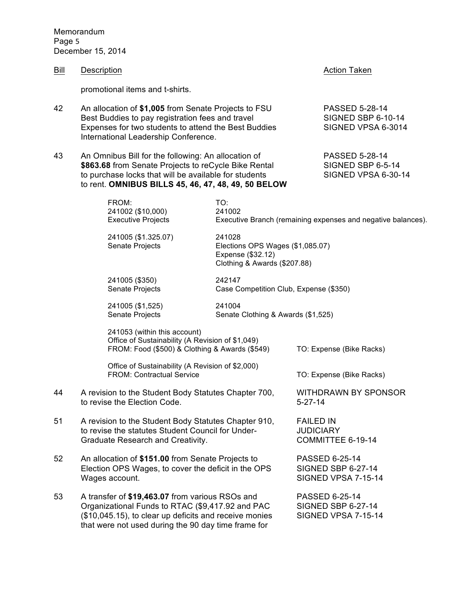Memorandum Page 5 December 15, 2014

| Bill | Description                                                                                                                                                                                                                 |                                                                                                                                                                                  | <b>Action Taken</b>                                                |                                                                          |  |
|------|-----------------------------------------------------------------------------------------------------------------------------------------------------------------------------------------------------------------------------|----------------------------------------------------------------------------------------------------------------------------------------------------------------------------------|--------------------------------------------------------------------|--------------------------------------------------------------------------|--|
|      | promotional items and t-shirts.                                                                                                                                                                                             |                                                                                                                                                                                  |                                                                    |                                                                          |  |
| 42   | An allocation of \$1,005 from Senate Projects to FSU<br>Best Buddies to pay registration fees and travel<br>Expenses for two students to attend the Best Buddies<br>International Leadership Conference.                    |                                                                                                                                                                                  |                                                                    | <b>PASSED 5-28-14</b><br><b>SIGNED SBP 6-10-14</b><br>SIGNED VPSA 6-3014 |  |
| 43   | An Omnibus Bill for the following: An allocation of<br>\$863.68 from Senate Projects to reCycle Bike Rental<br>to purchase locks that will be available for students<br>to rent. OMNIBUS BILLS 45, 46, 47, 48, 49, 50 BELOW |                                                                                                                                                                                  |                                                                    | PASSED 5-28-14<br>SIGNED SBP 6-5-14<br>SIGNED VPSA 6-30-14               |  |
|      | FROM:<br>241002 (\$10,000)<br><b>Executive Projects</b><br>241005 (\$1.325.07)<br>Senate Projects                                                                                                                           | TO:<br>241002<br>Executive Branch (remaining expenses and negative balances).<br>241028<br>Elections OPS Wages (\$1,085.07)<br>Expense (\$32.12)<br>Clothing & Awards (\$207.88) |                                                                    |                                                                          |  |
|      | 241005 (\$350)<br>Senate Projects                                                                                                                                                                                           | 242147<br>Case Competition Club, Expense (\$350)                                                                                                                                 |                                                                    |                                                                          |  |
|      | 241005 (\$1,525)<br>Senate Projects                                                                                                                                                                                         | 241004<br>Senate Clothing & Awards (\$1,525)                                                                                                                                     |                                                                    |                                                                          |  |
|      | 241053 (within this account)<br>Office of Sustainability (A Revision of \$1,049)<br>FROM: Food (\$500) & Clothing & Awards (\$549)                                                                                          |                                                                                                                                                                                  |                                                                    | TO: Expense (Bike Racks)                                                 |  |
|      | Office of Sustainability (A Revision of \$2,000)<br><b>FROM: Contractual Service</b>                                                                                                                                        |                                                                                                                                                                                  |                                                                    | TO: Expense (Bike Racks)                                                 |  |
| 44   | A revision to the Student Body Statutes Chapter 700,<br>to revise the Election Code.                                                                                                                                        |                                                                                                                                                                                  | <b>WITHDRAWN BY SPONSOR</b><br>$5 - 27 - 14$                       |                                                                          |  |
| 51   | A revision to the Student Body Statutes Chapter 910,<br>to revise the statutes Student Council for Under-<br>Graduate Research and Creativity.                                                                              |                                                                                                                                                                                  | <b>FAILED IN</b><br><b>JUDICIARY</b><br>COMMITTEE 6-19-14          |                                                                          |  |
| 52   | An allocation of \$151.00 from Senate Projects to<br>Election OPS Wages, to cover the deficit in the OPS<br>Wages account.                                                                                                  |                                                                                                                                                                                  | PASSED 6-25-14<br><b>SIGNED SBP 6-27-14</b><br>SIGNED VPSA 7-15-14 |                                                                          |  |
| 53   | A transfer of \$19,463.07 from various RSOs and<br>Organizational Funds to RTAC (\$9,417.92 and PAC<br>(\$10,045.15), to clear up deficits and receive monies<br>that were not used during the 90 day time frame for        |                                                                                                                                                                                  | PASSED 6-25-14<br><b>SIGNED SBP 6-27-14</b><br>SIGNED VPSA 7-15-14 |                                                                          |  |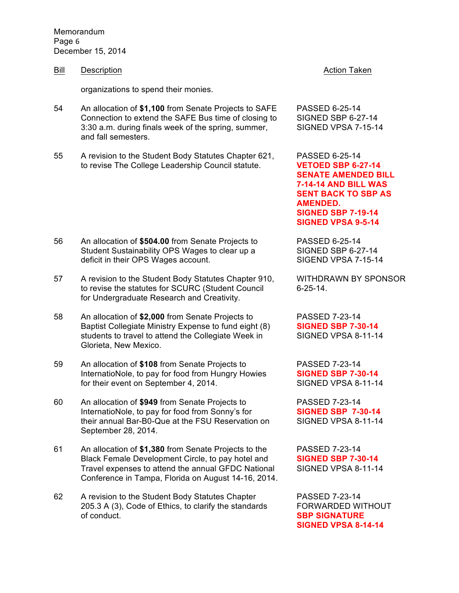Memorandum Page 6 December 15, 2014

Bill Description **Action** Description **Action** Taken

organizations to spend their monies.

- 54 An allocation of **\$1,100** from Senate Projects to SAFE PASSED 6-25-14 Connection to extend the SAFE Bus time of closing to SIGNED SBP 6-27-14 3:30 a.m. during finals week of the spring, summer, SIGNED VPSA 7-15-14 and fall semesters.
- 55 A revision to the Student Body Statutes Chapter 621, PASSED 6-25-14 to revise The College Leadership Council statute. **VETOED SBP 6-27-14**

- 56 An allocation of **\$504.00** from Senate Projects to PASSED 6-25-14 Student Sustainability OPS Wages to clear up a SIGNED SBP 6-27-14 deficit in their OPS Wages account. SIGEND VPSA 7-15-14
- 57 A revision to the Student Body Statutes Chapter 910, WITHDRAWN BY SPONSOR to revise the statutes for SCURC (Student Council 6-25-14. for Undergraduate Research and Creativity.
- 58 An allocation of **\$2,000** from Senate Projects to PASSED 7-23-14 Baptist Collegiate Ministry Expense to fund eight (8) **SIGNED SBP 7-30-14** students to travel to attend the Collegiate Week in SIGNED VPSA 8-11-14 Glorieta, New Mexico.
- 59 An allocation of **\$108** from Senate Projects to PASSED 7-23-14 InternatioNole, to pay for food from Hungry Howies **SIGNED SBP 7-30-14** for their event on September 4, 2014. SIGNED VPSA 8-11-14
- 60 An allocation of **\$949** from Senate Projects to PASSED 7-23-14 InternatioNole, to pay for food from Sonny's for **SIGNED SBP 7-30-14** their annual Bar-B0-Que at the FSU Reservation on SIGNED VPSA 8-11-14 September 28, 2014.
- 61 An allocation of **\$1,380** from Senate Projects to the PASSED 7-23-14 Black Female Development Circle, to pay hotel and **SIGNED SBP 7-30-14** Travel expenses to attend the annual GFDC National SIGNED VPSA 8-11-14 Conference in Tampa, Florida on August 14-16, 2014.
- 62 A revision to the Student Body Statutes Chapter PASSED 7-23-14 205.3 A (3), Code of Ethics, to clarify the standards FORWARDED WITHOUT of conduct. **SBP SIGNATURE**

**SENATE AMENDED BILL 7-14-14 AND BILL WAS SENT BACK TO SBP AS AMENDED. SIGNED SBP 7-19-14 SIGNED VPSA 9-5-14**

**SIGNED VPSA 8-14-14**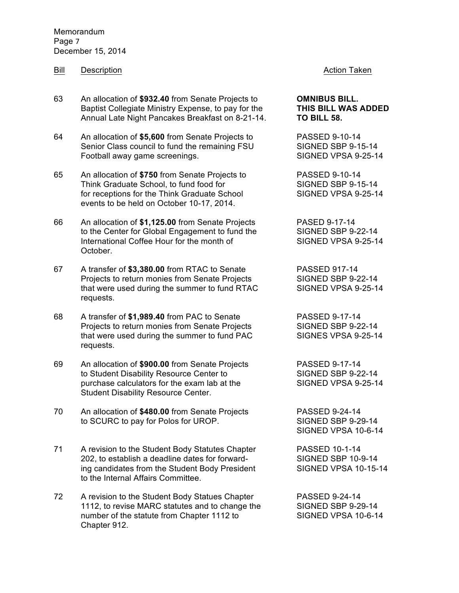**Memorandum** Page 7 December 15, 2014

# Bill Description **Action** Description **Action** Taken

63 An allocation of **\$932.40** from Senate Projects to **OMNIBUS BILL.**  Baptist Collegiate Ministry Expense, to pay for the **THIS BILL WAS ADDED**  Annual Late Night Pancakes Breakfast on 8-21-14. **TO BILL 58.**

64 An allocation of **\$5,600** from Senate Projects to PASSED 9-10-14 Senior Class council to fund the remaining FSU SIGNED SBP 9-15-14 Football away game screenings. The SIGNED VPSA 9-25-14

65 An allocation of **\$750** from Senate Projects to PASSED 9-10-14 Think Graduate School, to fund food for SIGNED SBP 9-15-14<br>
for receptions for the Think Graduate School SIGNED VPSA 9-25-14 for receptions for the Think Graduate School events to be held on October 10-17, 2014.

66 An allocation of **\$1,125.00** from Senate Projects PASED 9-17-14 to the Center for Global Engagement to fund the SIGNED SBP 9-22-14<br>International Coffee Hour for the month of SIGNED VPSA 9-25-14 International Coffee Hour for the month of October.

67 A transfer of **\$3,380.00** from RTAC to Senate PASSED 917-14 Projects to return monies from Senate Projects SIGNED SBP 9-22-14 that were used during the summer to fund RTAC SIGNED VPSA 9-25-14 requests.

68 A transfer of **\$1,989.40** from PAC to Senate PASSED 9-17-14 Projects to return monies from Senate Projects SIGNED SBP 9-22-14 that were used during the summer to fund PAC SIGNES VPSA 9-25-14 requests.

69 An allocation of **\$900.00** from Senate Projects PASSED 9-17-14 to Student Disability Resource Center to SIGNED SBP 9-22-14 purchase calculators for the exam lab at the SIGNED VPSA 9-25-14 Student Disability Resource Center.

70 An allocation of **\$480.00** from Senate Projects PASSED 9-24-14 to SCURC to pay for Polos for UROP. SIGNED SBP 9-29-14

71 A revision to the Student Body Statutes Chapter PASSED 10-1-14 202, to establish a deadline dates for forward-<br>SIGNED SBP 10-9-14 ing candidates from the Student Body President SIGNED VPSA 10-15-14 to the Internal Affairs Committee.

72 A revision to the Student Body Statues Chapter PASSED 9-24-14 1112, to revise MARC statutes and to change the SIGNED SBP 9-29-14 number of the statute from Chapter 1112 to SIGNED VPSA 10-6-14 Chapter 912.

SIGNED VPSA 10-6-14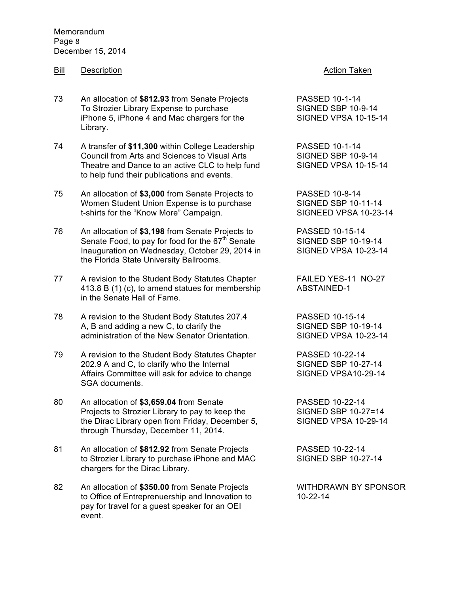Memorandum Page 8 December 15, 2014

### Bill Description **Action** Description **Action** Taken

- 73 An allocation of **\$812.93** from Senate Projects PASSED 10-1-14 To Strozier Library Expense to purchase SIGNED SBP 10-9-14 iPhone 5, iPhone 4 and Mac chargers for the SIGNED VPSA 10-15-14 Library.
- 74 A transfer of **\$11,300** within College Leadership PASSED 10-1-14 Council from Arts and Sciences to Visual Arts SIGNED SBP 10-9-14 Theatre and Dance to an active CLC to help fund SIGNED VPSA 10-15-14 to help fund their publications and events.
- 75 An allocation of **\$3,000** from Senate Projects to PASSED 10-8-14 Women Student Union Expense is to purchase SIGNED SBP 10-11-14 t-shirts for the "Know More" Campaign. SIGNEED VPSA 10-23-14
- 76 An allocation of **\$3,198** from Senate Projects to PASSED 10-15-14 Senate Food, to pay for food for the 67<sup>th</sup> Senate SIGNED SBP 10-19-14 Inauguration on Wednesday, October 29, 2014 in SIGNED VPSA 10-23-14 the Florida State University Ballrooms.
- 77 A revision to the Student Body Statutes Chapter FAILED YES-11 NO-27 413.8 B (1) (c), to amend statues for membership ABSTAINED-1 in the Senate Hall of Fame.
- 78 A revision to the Student Body Statutes 207.4 PASSED 10-15-14 A, B and adding a new C, to clarify the SIGNED SBP 10-19-14 administration of the New Senator Orientation. SIGNED VPSA 10-23-14
- 79 A revision to the Student Body Statutes Chapter PASSED 10-22-14 202.9 A and C, to clarify who the Internal SIGNED SBP 10-27-14 Affairs Committee will ask for advice to change SIGNED VPSA10-29-14 SGA documents.
- 80 An allocation of **\$3,659.04** from Senate PASSED 10-22-14 Projects to Strozier Library to pay to keep the SIGNED SBP 10-27=14 the Dirac Library open from Friday, December 5, SIGNED VPSA 10-29-14 through Thursday, December 11, 2014.
- 81 An allocation of **\$812.92** from Senate Projects PASSED 10-22-14 to Strozier Library to purchase iPhone and MAC SIGNED SBP 10-27-14 chargers for the Dirac Library.
- 82 An allocation of **\$350.00** from Senate Projects WITHDRAWN BY SPONSOR to Office of Entreprenuership and Innovation to 10-22-14 pay for travel for a guest speaker for an OEI event.